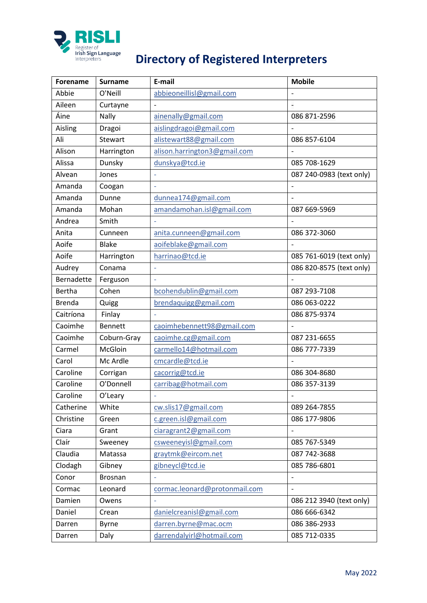

## **PRISLI**<br> **PRISLI**<br> **Directory of Registered Interpreters**<br>
Interpreters

| Forename      | <b>Surname</b> | E-mail                        | <b>Mobile</b>            |
|---------------|----------------|-------------------------------|--------------------------|
| Abbie         | O'Neill        | abbieoneillisl@gmail.com      |                          |
| Aileen        | Curtayne       | $\overline{a}$                |                          |
| Áine          | Nally          | ainenally@gmail.com           | 086 871-2596             |
| Aisling       | Dragoi         | aislingdragoi@gmail.com       |                          |
| Ali           | Stewart        | alistewart88@gmail.com        | 086 857-6104             |
| Alison        | Harrington     | alison.harrington3@gmail.com  |                          |
| Alissa        | Dunsky         | dunskya@tcd.ie                | 085 708-1629             |
| Alvean        | Jones          |                               | 087 240-0983 (text only) |
| Amanda        | Coogan         | L.                            |                          |
| Amanda        | Dunne          | dunnea174@gmail.com           |                          |
| Amanda        | Mohan          | amandamohan.isl@gmail.com     | 087 669-5969             |
| Andrea        | Smith          |                               |                          |
| Anita         | Cunneen        | anita.cunneen@gmail.com       | 086 372-3060             |
| Aoife         | <b>Blake</b>   | aoifeblake@gmail.com          |                          |
| Aoife         | Harrington     | harrinao@tcd.ie               | 085 761-6019 (text only) |
| Audrey        | Conama         |                               | 086 820-8575 (text only) |
| Bernadette    | Ferguson       | $\overline{\phantom{a}}$      |                          |
| <b>Bertha</b> | Cohen          | bcohendublin@gmail.com        | 087 293-7108             |
| <b>Brenda</b> | Quigg          | brendaquigg@gmail.com         | 086 063-0222             |
| Caitríona     | Finlay         |                               | 086 875-9374             |
| Caoimhe       | <b>Bennett</b> | caoimhebennett98@gmail.com    |                          |
| Caoimhe       | Coburn-Gray    | caoimhe.cg@gmail.com          | 087 231-6655             |
| Carmel        | McGloin        | carmello14@hotmail.com        | 086 777-7339             |
| Carol         | Mc Ardle       | cmcardle@tcd.ie               |                          |
| Caroline      | Corrigan       | cacorrig@tcd.ie               | 086 304-8680             |
| Caroline      | O'Donnell      | carribag@hotmail.com          | 086 357-3139             |
| Caroline      | O'Leary        |                               | $\overline{\phantom{a}}$ |
| Catherine     | White          | cw.slis17@gmail.com           | 089 264-7855             |
| Christine     | Green          | c.green.isl@gmail.com         | 086 177-9806             |
| Ciara         | Grant          | ciaragrant2@gmail.com         |                          |
| Claír         | Sweeney        | csweeneyisl@gmail.com         | 085 767-5349             |
| Claudia       | Matassa        | graytmk@eircom.net            | 087 742-3688             |
| Clodagh       | Gibney         | gibneycl@tcd.ie               | 085 786-6801             |
| Conor         | Brosnan        |                               | $\qquad \qquad -$        |
| Cormac        | Leonard        | cormac.leonard@protonmail.com |                          |
| Damien        | Owens          |                               | 086 212 3940 (text only) |
| Daniel        | Crean          | danielcreanisl@gmail.com      | 086 666-6342             |
| Darren        | <b>Byrne</b>   | darren.byrne@mac.ocm          | 086 386-2933             |
| Darren        | Daly           | darrendalyirl@hotmail.com     | 085 712-0335             |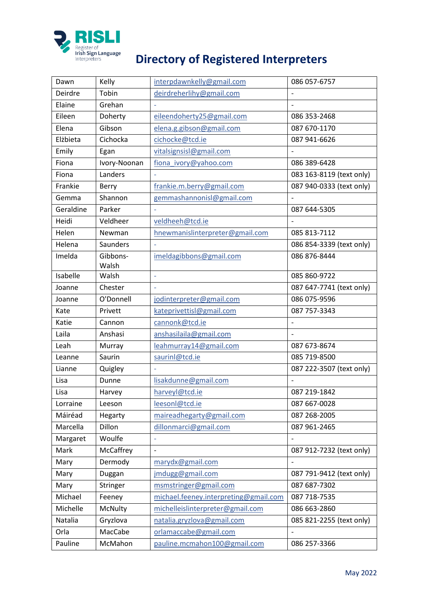

## **Directory of Registered Interpreters**<br>
Interpreters **Directory of Registered Interpreters**

| Dawn      | Kelly           | interpdawnkelly@gmail.com             | 086 057-6757             |
|-----------|-----------------|---------------------------------------|--------------------------|
| Deirdre   | Tobin           | deirdreherlihy@gmail.com              |                          |
| Elaine    | Grehan          |                                       |                          |
| Eileen    | Doherty         | eileendoherty25@gmail.com             | 086 353-2468             |
| Elena     | Gibson          | elena.g.gibson@gmail.com              | 087 670-1170             |
| Elżbieta  | Cichocka        | cichocke@tcd.ie                       | 087 941-6626             |
| Emily     | Egan            | vitalsignsisl@gmail.com               |                          |
| Fiona     | Ivory-Noonan    | fiona ivory@yahoo.com                 | 086 389-6428             |
| Fiona     | Landers         |                                       | 083 163-8119 (text only) |
| Frankie   | Berry           | frankie.m.berry@gmail.com             | 087 940-0333 (text only) |
| Gemma     | Shannon         | gemmashannonisl@gmail.com             | $\overline{\phantom{0}}$ |
| Geraldine | Parker          |                                       | 087 644-5305             |
| Heidi     | Veldheer        | veldheeh@tcd.ie                       |                          |
| Helen     | Newman          | hnewmanislinterpreter@gmail.com       | 085 813-7112             |
| Helena    | <b>Saunders</b> |                                       | 086 854-3339 (text only) |
| Imelda    | Gibbons-        | imeldagibbons@gmail.com               | 086 876-8444             |
|           | Walsh           |                                       |                          |
| Isabelle  | Walsh           | $\overline{\phantom{a}}$              | 085 860-9722             |
| Joanne    | Chester         |                                       | 087 647-7741 (text only) |
| Joanne    | O'Donnell       | jodinterpreter@gmail.com              | 086 075-9596             |
| Kate      | Privett         | kateprivettisl@gmail.com              | 087 757-3343             |
| Katie     | Cannon          | cannonk@tcd.ie                        |                          |
| Laila     | Anshasi         | anshasilaila@gmail.com                | $\overline{a}$           |
| Leah      | Murray          | leahmurray14@gmail.com                | 087 673-8674             |
| Leanne    | Saurin          | saurinl@tcd.ie                        | 085 719-8500             |
| Lianne    | Quigley         | $\bar{\phantom{a}}$                   | 087 222-3507 (text only) |
| Lisa      | Dunne           | lisakdunne@gmail.com                  |                          |
| Lisa      | Harvey          | harveyl@tcd.ie                        | 087 219-1842             |
| Lorraine  | Leeson          | leesonl@tcd.ie                        | 087 667-0028             |
| Máiréad   | Hegarty         | maireadhegarty@gmail.com              | 087 268-2005             |
| Marcella  | Dillon          | dillonmarci@gmail.com                 | 087 961-2465             |
| Margaret  | Woulfe          |                                       |                          |
| Mark      | McCaffrey       | $\frac{1}{2}$                         | 087 912-7232 (text only) |
| Mary      | Dermody         | marydx@gmail.com                      |                          |
| Mary      | Duggan          | jmdugg@gmail.com                      | 087 791-9412 (text only) |
| Mary      | Stringer        | msmstringer@gmail.com                 | 087 687-7302             |
| Michael   | Feeney          | michael.feeney.interpreting@gmail.com | 087 718-7535             |
| Michelle  | McNulty         | michelleislinterpreter@gmail.com      | 086 663-2860             |
| Natalia   | Gryzlova        | natalia.gryzlova@gmail.com            | 085 821-2255 (text only) |
| Orla      | MacCabe         | orlamaccabe@gmail.com                 |                          |
| Pauline   | McMahon         | pauline.mcmahon100@gmail.com          | 086 257-3366             |